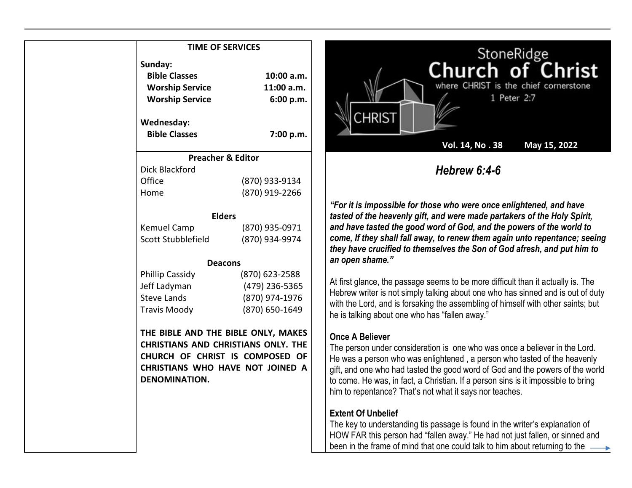# **TIME OF SERVICES Sunday: Bible Classes Worship Service Worship Service Wednesday: Bible Classes 10:00 a.m. 11:00 a.m. 6:00 p.m. 7:00 p.m. Preacher & Editor** Dick Blackford Office (870) 933-9134 Home (870) 919-2266 **Elders** Kemuel Camp (870) 935-0971 Scott Stubblefield (870) 934-9974 **Deacons** Phillip Cassidy (870) 623-2588 Jeff Ladyman (479) 236-5365 Steve Lands (870) 974-1976 Travis Moody (870) 650-1649 **THE BIBLE AND THE BIBLE ONLY, MAKES CHRISTIANS AND CHRISTIANS ONLY. THE CHURCH OF CHRIST IS COMPOSED OF CHRISTIANS WHO HAVE NOT JOINED A DENOMINATION.**



*"For it is impossible for those who were once enlightened, and have tasted of the heavenly gift, and were made partakers of the Holy Spirit, and have tasted the good word of God, and the powers of the world to come, If they shall fall away, to renew them again unto repentance; seeing they have crucified to themselves the Son of God afresh, and put him to an open shame."*

At first glance, the passage seems to be more difficult than it actually is. The Hebrew writer is not simply talking about one who has sinned and is out of duty with the Lord, and is forsaking the assembling of himself with other saints; but he is talking about one who has "fallen away."

### **Once A Believer**

The person under consideration is one who was once a believer in the Lord. He was a person who was enlightened , a person who tasted of the heavenly gift, and one who had tasted the good word of God and the powers of the world to come. He was, in fact, a Christian. If a person sins is it impossible to bring him to repentance? That's not what it says nor teaches.

## **Extent Of Unbelief**

The key to understanding tis passage is found in the writer's explanation of HOW FAR this person had "fallen away." He had not just fallen, or sinned and been in the frame of mind that one could talk to him about returning to the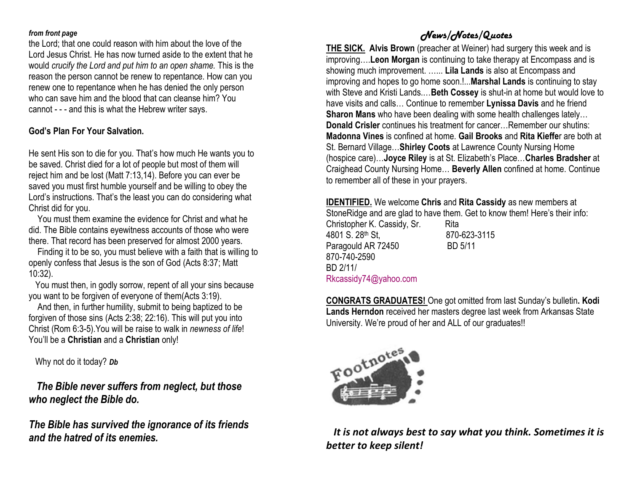#### *from front page*

the Lord; that one could reason with him about the love of the Lord Jesus Christ. He has now turned aside to the extent that he would *crucify the Lord and put him to an open shame.* This is the reason the person cannot be renew to repentance. How can you renew one to repentance when he has denied the only person who can save him and the blood that can cleanse him? You cannot - - - and this is what the Hebrew writer says.

### **God's Plan For Your Salvation.**

He sent His son to die for you. That's how much He wants you to be saved. Christ died for a lot of people but most of them will reject him and be lost (Matt 7:13,14). Before you can ever be saved you must first humble yourself and be willing to obey the Lord's instructions. That's the least you can do considering what Christ did for you.

 You must them examine the evidence for Christ and what he did. The Bible contains eyewitness accounts of those who were there. That record has been preserved for almost 2000 years.

 Finding it to be so, you must believe with a faith that is willing to openly confess that Jesus is the son of God (Acts 8:37; Matt 10:32).

 You must then, in godly sorrow, repent of all your sins because you want to be forgiven of everyone of them(Acts 3:19).

 And then, in further humility, submit to being baptized to be forgiven of those sins (Acts 2:38; 22:16). This will put you into Christ (Rom 6:3-5).You will be raise to walk in *newness of life*! You'll be a **Christian** and a **Christian** only!

Why not do it today? *Db*

 *The Bible never suffers from neglect, but those who neglect the Bible do.*

*The Bible has survived the ignorance of its friends and the hatred of its enemies.*

# *News/Notes/Quotes*

**THE SICK. Alvis Brown** (preacher at Weiner) had surgery this week and is improving….**Leon Morgan** is continuing to take therapy at Encompass and is showing much improvement. …... **Lila Lands** is also at Encompass and improving and hopes to go home soon.!...**Marshal Lands** is continuing to stay with Steve and Kristi Lands.…**Beth Cossey** is shut-in at home but would love to have visits and calls… Continue to remember **Lynissa Davis** and he friend **Sharon Mans** who have been dealing with some health challenges lately… **Donald Crisler** continues his treatment for cancer…Remember our shutins: **Madonna Vines** is confined at home. **Gail Brooks** and **Rita Kieffe**r are both at St. Bernard Village…**Shirley Coots** at Lawrence County Nursing Home (hospice care)…**Joyce Riley** is at St. Elizabeth's Place…**Charles Bradsher** at Craighead County Nursing Home… **Beverly Allen** confined at home. Continue to remember all of these in your prayers.

**IDENTIFIED.** We welcome **Chris** and **Rita Cassidy** as new members at

StoneRidge and are glad to have them. Get to know them! Here's their info:

Christopher K. Cassidy, Sr. Rita 4801 S. 28<sup>th</sup> St. 870-623-3115 Paragould AR 72450 BD 5/11 870-740-2590 BD 2/11/ [Rkcassidy74@yahoo.com](mailto:Rkcassidy74@yahoo.com)

**CONGRATS GRADUATES!** One got omitted from last Sunday's bulletin**. Kodi Lands Herndon** received her masters degree last week from Arkansas State University. We're proud of her and ALL of our graduates!!



 *It is not always best to say what you think. Sometimes it is better to keep silent!*